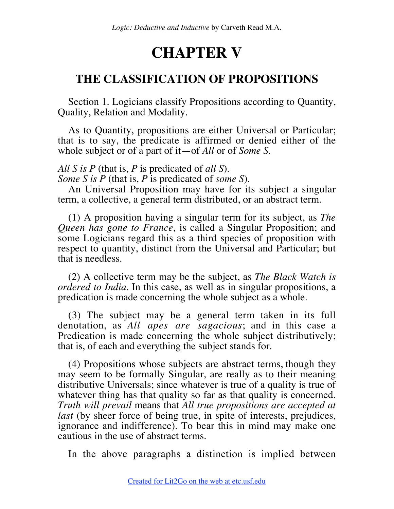## **CHAPTER V**

## **THE CLASSIFICATION OF PROPOSITIONS**

Section 1. Logicians classify Propositions according to Quantity, Quality, Relation and Modality.

As to Quantity, propositions are either Universal or Particular; that is to say, the predicate is affirmed or denied either of the whole subject or of a part of it—of *All* or of *Some S*.

*All S is P* (that is, *P* is predicated of *all S*).

*Some S is P* (that is, *P* is predicated of *some S*).

An Universal Proposition may have for its subject a singular term, a collective, a general term distributed, or an abstract term.

(1) A proposition having a singular term for its subject, as *The Queen has gone to France*, is called a Singular Proposition; and some Logicians regard this as a third species of proposition with respect to quantity, distinct from the Universal and Particular; but that is needless.

(2) A collective term may be the subject, as *The Black Watch is ordered to India*. In this case, as well as in singular propositions, a predication is made concerning the whole subject as a whole.

(3) The subject may be a general term taken in its full denotation, as *All apes are sagacious*; and in this case a Predication is made concerning the whole subject distributively; that is, of each and everything the subject stands for.

(4) Propositions whose subjects are abstract terms, though they may seem to be formally Singular, are really as to their meaning distributive Universals; since whatever is true of a quality is true of whatever thing has that quality so far as that quality is concerned. *Truth will prevail* means that *All true propositions are accepted at last* (by sheer force of being true, in spite of interests, prejudices, ignorance and indifference). To bear this in mind may make one cautious in the use of abstract terms.

In the above paragraphs a distinction is implied between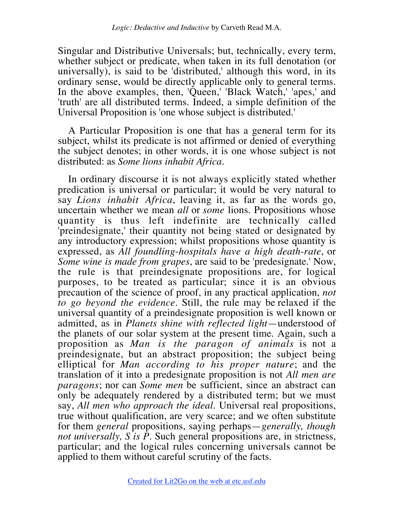Singular and Distributive Universals; but, technically, every term, whether subject or predicate, when taken in its full denotation (or universally), is said to be 'distributed,' although this word, in its ordinary sense, would be directly applicable only to general terms. In the above examples, then, 'Queen,' 'Black Watch,' 'apes,' and 'truth' are all distributed terms. Indeed, a simple definition of the Universal Proposition is 'one whose subject is distributed.'

A Particular Proposition is one that has a general term for its subject, whilst its predicate is not affirmed or denied of everything the subject denotes; in other words, it is one whose subject is not distributed: as *Some lions inhabit Africa*.

In ordinary discourse it is not always explicitly stated whether predication is universal or particular; it would be very natural to say *Lions inhabit Africa*, leaving it, as far as the words go, uncertain whether we mean *all* or *some* lions. Propositions whose quantity is thus left indefinite are technically called 'preindesignate,' their quantity not being stated or designated by any introductory expression; whilst propositions whose quantity is expressed, as *All foundling-hospitals have a high death-rate*, or *Some wine is made from grapes*, are said to be 'predesignate.' Now, the rule is that preindesignate propositions are, for logical purposes, to be treated as particular; since it is an obvious precaution of the science of proof, in any practical application, *not to go beyond the evidence*. Still, the rule may be relaxed if the universal quantity of a preindesignate proposition is well known or admitted, as in *Planets shine with reflected light*—understood of the planets of our solar system at the present time. Again, such a proposition as *Man is the paragon of animals* is not a preindesignate, but an abstract proposition; the subject being elliptical for *Man according to his proper nature*; and the translation of it into a predesignate proposition is not *All men are paragons*; nor can *Some men* be sufficient, since an abstract can only be adequately rendered by a distributed term; but we must say, *All men who approach the ideal*. Universal real propositions, true without qualification, are very scarce; and we often substitute for them *general* propositions, saying perhaps—*generally, though not universally, S is P*. Such general propositions are, in strictness, particular; and the logical rules concerning universals cannot be applied to them without careful scrutiny of the facts.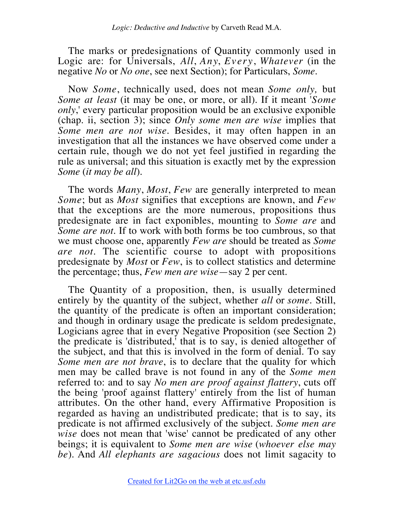The marks or predesignations of Quantity commonly used in Logic are: for Universals, *All*, *Any*, *Every*, *Whatever* (in the negative *No* or *No one*, see next Section); for Particulars, *Some*.

Now *Some*, technically used, does not mean *Some only,* but *Some at least* (it may be one, or more, or all). If it meant '*Some only*,' every particular proposition would be an exclusive exponible (chap. ii, section 3); since *Only some men are wise* implies that *Some men are not wise*. Besides, it may often happen in an investigation that all the instances we have observed come under a certain rule, though we do not yet feel justified in regarding the rule as universal; and this situation is exactly met by the expression *Some* (*it may be all*).

The words *Many*, *Most*, *Few* are generally interpreted to mean *Some*; but as *Most* signifies that exceptions are known, and *Few* that the exceptions are the more numerous, propositions thus predesignate are in fact exponibles, mounting to *Some are* and *Some are not*. If to work with both forms be too cumbrous, so that we must choose one, apparently *Few are* should be treated as *Some are not*. The scientific course to adopt with propositions predesignate by *Most* or *Few*, is to collect statistics and determine the percentage; thus, *Few men are wise*—say 2 per cent.

The Quantity of a proposition, then, is usually determined entirely by the quantity of the subject, whether *all* or *some*. Still, the quantity of the predicate is often an important consideration; and though in ordinary usage the predicate is seldom predesignate, Logicians agree that in every Negative Proposition (see Section 2) the predicate is 'distributed,' that is to say, is denied altogether of the subject, and that this is involved in the form of denial. To say *Some men are not brave*, is to declare that the quality for which men may be called brave is not found in any of the *Some men* referred to: and to say *No men are proof against flattery*, cuts off the being 'proof against flattery' entirely from the list of human attributes. On the other hand, every Affirmative Proposition is regarded as having an undistributed predicate; that is to say, its predicate is not affirmed exclusively of the subject. *Some men are wise* does not mean that 'wise' cannot be predicated of any other beings; it is equivalent to *Some men are wise* (*whoever else may be*). And *All elephants are sagacious* does not limit sagacity to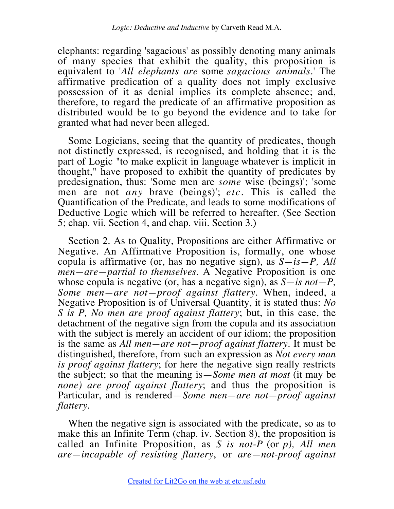elephants: regarding 'sagacious' as possibly denoting many animals of many species that exhibit the quality, this proposition is equivalent to '*All elephants are* some *sagacious animals*.' The affirmative predication of a quality does not imply exclusive possession of it as denial implies its complete absence; and, therefore, to regard the predicate of an affirmative proposition as distributed would be to go beyond the evidence and to take for granted what had never been alleged.

Some Logicians, seeing that the quantity of predicates, though not distinctly expressed, is recognised, and holding that it is the part of Logic "to make explicit in language whatever is implicit in thought," have proposed to exhibit the quantity of predicates by predesignation, thus: 'Some men are *some* wise (beings)'; 'some men are not *any* brave (beings)'; *etc.* This is called the Quantification of the Predicate, and leads to some modifications of Deductive Logic which will be referred to hereafter. (See Section 5; chap. vii. Section 4, and chap. viii. Section 3.)

Section 2. As to Quality, Propositions are either Affirmative or Negative. An Affirmative Proposition is, formally, one whose copula is affirmative (or, has no negative sign), as *S—is—P, All men—are—partial to themselves*. A Negative Proposition is one whose copula is negative (or, has a negative sign), as *S—is not—P, Some men—are not—proof against flattery*. When, indeed, a Negative Proposition is of Universal Quantity, it is stated thus: *No S is P, No men are proof against flattery*; but, in this case, the detachment of the negative sign from the copula and its association with the subject is merely an accident of our idiom; the proposition is the same as *All men—are not—proof against flattery*. It must be distinguished, therefore, from such an expression as *Not every man is proof against flattery*; for here the negative sign really restricts the subject; so that the meaning is—*Some men at most* (it may be *none) are proof against flattery*; and thus the proposition is Particular, and is rendered—*Some men—are not—proof against flattery*.

When the negative sign is associated with the predicate, so as to make this an Infinite Term (chap. iv. Section 8), the proposition is called an Infinite Proposition, as *S is not-P* (or *p), All men are—incapable of resisting flattery*, or *are—not-proof against*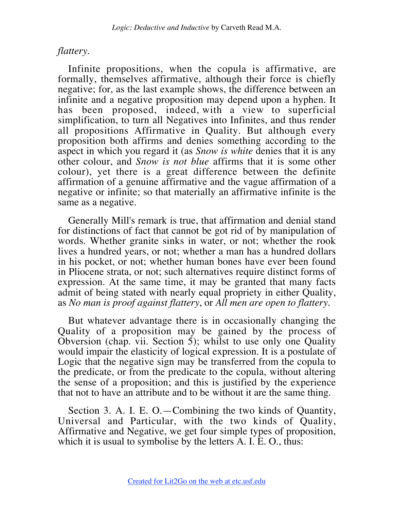## *flattery*.

Infinite propositions, when the copula is affirmative, are formally, themselves affirmative, although their force is chiefly negative; for, as the last example shows, the difference between an infinite and a negative proposition may depend upon a hyphen. It has been proposed, indeed, with a view to superficial simplification, to turn all Negatives into Infinites, and thus render all propositions Affirmative in Quality. But although every proposition both affirms and denies something according to the aspect in which you regard it (as *Snow is white* denies that it is any other colour, and *Snow is not blue* affirms that it is some other colour), yet there is a great difference between the definite affirmation of a genuine affirmative and the vague affirmation of a negative or infinite; so that materially an affirmative infinite is the same as a negative.

Generally Mill's remark is true, that affirmation and denial stand for distinctions of fact that cannot be got rid of by manipulation of words. Whether granite sinks in water, or not; whether the rook lives a hundred years, or not; whether a man has a hundred dollars in his pocket, or not; whether human bones have ever been found in Pliocene strata, or not; such alternatives require distinct forms of expression. At the same time, it may be granted that many facts admit of being stated with nearly equal propriety in either Quality, as *No man is proof against flattery*, or *All men are open to flattery*.

But whatever advantage there is in occasionally changing the Quality of a proposition may be gained by the process of Obversion (chap. vii. Section  $\overline{5}$ ); whilst to use only one Quality would impair the elasticity of logical expression. It is a postulate of Logic that the negative sign may be transferred from the copula to the predicate, or from the predicate to the copula, without altering the sense of a proposition; and this is justified by the experience that not to have an attribute and to be without it are the same thing.

Section 3. A. I. E. O.—Combining the two kinds of Quantity, Universal and Particular, with the two kinds of Quality, Affirmative and Negative, we get four simple types of proposition, which it is usual to symbolise by the letters A. I. E. O., thus: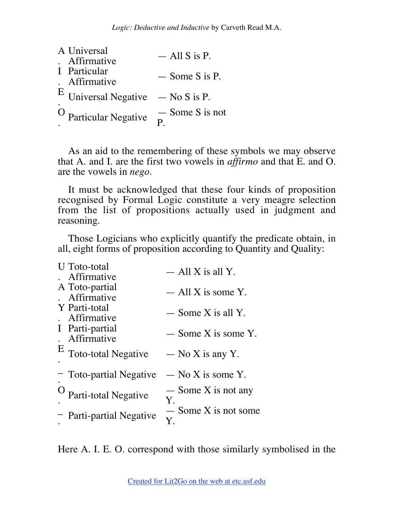| A Universal  |                                       | $-$ All S is P.   |
|--------------|---------------------------------------|-------------------|
| I Particular | Affirmative<br>. Affirmative          | $-$ Some S is P.  |
|              | $E$ Universal Negative $-$ No S is P. |                   |
|              | <sup>O</sup> Particular Negative      | $-$ Some S is not |

As an aid to the remembering of these symbols we may observe that A. and I. are the first two vowels in *affirmo* and that E. and O. are the vowels in *nego*.

It must be acknowledged that these four kinds of proposition recognised by Formal Logic constitute a very meagre selection from the list of propositions actually used in judgment and reasoning.

Those Logicians who explicitly quantify the predicate obtain, in all, eight forms of proposition according to Quantity and Quality:

| <b>U</b> Toto-total            | $-$ All X is all Y.          |
|--------------------------------|------------------------------|
| Affirmative                    |                              |
| A Toto-partial<br>Affirmative  | $-$ All X is some Y.         |
| Y Parti-total<br>Affirmative   | $-$ Some X is all Y.         |
| I Parti-partial<br>Affirmative | $-$ Some X is some Y.        |
| $E$ Toto-total Negative        | $-$ No X is any Y.           |
| - Toto-partial Negative        | $-$ No X is some Y.          |
| Parti-total Negative           | $-$ Some X is not any<br>Y.  |
| - Parti-partial Negative       | $-$ Some X is not some<br>Y. |

Here A. I. E. O. correspond with those similarly symbolised in the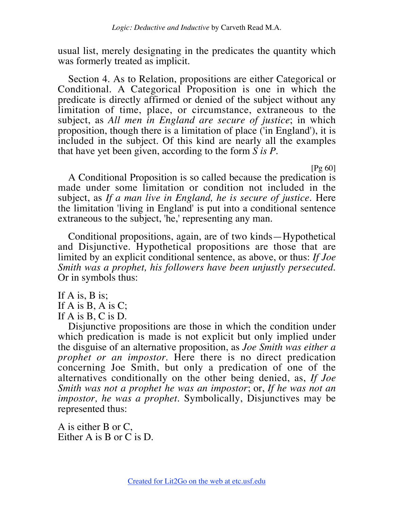usual list, merely designating in the predicates the quantity which was formerly treated as implicit.

Section 4. As to Relation, propositions are either Categorical or Conditional. A Categorical Proposition is one in which the predicate is directly affirmed or denied of the subject without any limitation of time, place, or circumstance, extraneous to the subject, as *All men in England are secure of justice*; in which proposition, though there is a limitation of place ('in England'), it is included in the subject. Of this kind are nearly all the examples that have yet been given, according to the form *S is P*.

[Pg 60]

A Conditional Proposition is so called because the predication is made under some limitation or condition not included in the subject, as *If a man live in England, he is secure of justice*. Here the limitation 'living in England' is put into a conditional sentence extraneous to the subject, 'he,' representing any man.

Conditional propositions, again, are of two kinds—Hypothetical and Disjunctive. Hypothetical propositions are those that are limited by an explicit conditional sentence, as above, or thus: *If Joe Smith was a prophet, his followers have been unjustly persecuted*. Or in symbols thus:

If A is, B is; If  $A$  is  $B$ ,  $A$  is  $C$ ; If A is B, C is D.

Disjunctive propositions are those in which the condition under which predication is made is not explicit but only implied under the disguise of an alternative proposition, as *Joe Smith was either a prophet or an impostor*. Here there is no direct predication concerning Joe Smith, but only a predication of one of the alternatives conditionally on the other being denied, as, *If Joe Smith was not a prophet he was an impostor*; or, *If he was not an impostor, he was a prophet*. Symbolically, Disjunctives may be represented thus:

A is either B or C, Either A is B or C is D.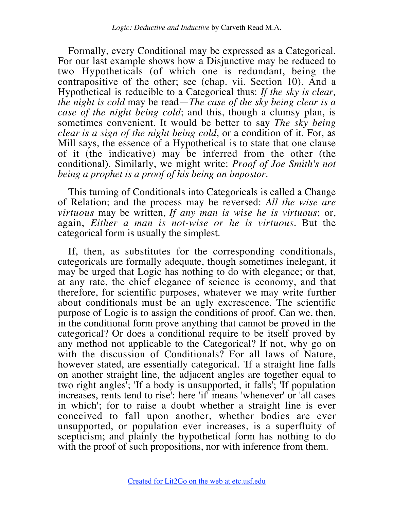Formally, every Conditional may be expressed as a Categorical. For our last example shows how a Disjunctive may be reduced to two Hypotheticals (of which one is redundant, being the contrapositive of the other; see (chap. vii. Section 10). And a Hypothetical is reducible to a Categorical thus: *If the sky is clear, the night is cold* may be read—*The case of the sky being clear is a case of the night being cold*; and this, though a clumsy plan, is sometimes convenient. It would be better to say *The sky being clear is a sign of the night being cold*, or a condition of it. For, as Mill says, the essence of a Hypothetical is to state that one clause of it (the indicative) may be inferred from the other (the conditional). Similarly, we might write: *Proof of Joe Smith's not being a prophet is a proof of his being an impostor*.

This turning of Conditionals into Categoricals is called a Change of Relation; and the process may be reversed: *All the wise are virtuous* may be written, *If any man is wise he is virtuous*; or, again, *Either a man is not-wise or he is virtuous*. But the categorical form is usually the simplest.

If, then, as substitutes for the corresponding conditionals, categoricals are formally adequate, though sometimes inelegant, it may be urged that Logic has nothing to do with elegance; or that, at any rate, the chief elegance of science is economy, and that therefore, for scientific purposes, whatever we may write further about conditionals must be an ugly excrescence. The scientific purpose of Logic is to assign the conditions of proof. Can we, then, in the conditional form prove anything that cannot be proved in the categorical? Or does a conditional require to be itself proved by any method not applicable to the Categorical? If not, why go on with the discussion of Conditionals? For all laws of Nature, however stated, are essentially categorical. 'If a straight line falls on another straight line, the adjacent angles are together equal to two right angles'; 'If a body is unsupported, it falls'; 'If population increases, rents tend to rise': here 'if' means 'whenever' or 'all cases in which'; for to raise a doubt whether a straight line is ever conceived to fall upon another, whether bodies are ever unsupported, or population ever increases, is a superfluity of scepticism; and plainly the hypothetical form has nothing to do with the proof of such propositions, nor with inference from them.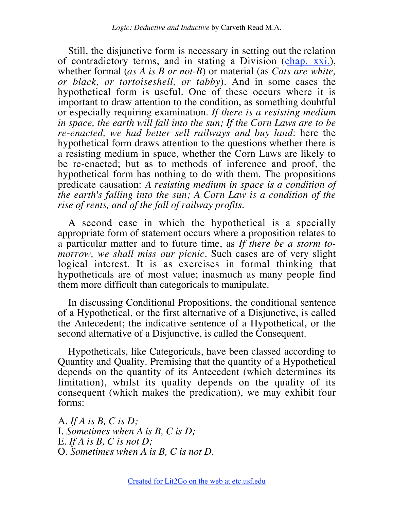Still, the disjunctive form is necessary in setting out the relation of contradictory terms, and in stating a Division (chap. xxi.), whether formal (*as A is B or not-B*) or material (as *Cats are white, or black, or tortoiseshell, or tabby*). And in some cases the hypothetical form is useful. One of these occurs where it is important to draw attention to the condition, as something doubtful or especially requiring examination. *If there is a resisting medium in space, the earth will fall into the sun; If the Corn Laws are to be re-enacted, we had better sell railways and buy land*: here the hypothetical form draws attention to the questions whether there is a resisting medium in space, whether the Corn Laws are likely to be re-enacted; but as to methods of inference and proof, the hypothetical form has nothing to do with them. The propositions predicate causation: *A resisting medium in space is a condition of the earth's falling into the sun; A Corn Law is a condition of the rise of rents, and of the fall of railway profits*.

A second case in which the hypothetical is a specially appropriate form of statement occurs where a proposition relates to a particular matter and to future time, as *If there be a storm tomorrow, we shall miss our picnic*. Such cases are of very slight logical interest. It is as exercises in formal thinking that hypotheticals are of most value; inasmuch as many people find them more difficult than categoricals to manipulate.

In discussing Conditional Propositions, the conditional sentence of a Hypothetical, or the first alternative of a Disjunctive, is called the Antecedent; the indicative sentence of a Hypothetical, or the second alternative of a Disjunctive, is called the Consequent.

Hypotheticals, like Categoricals, have been classed according to Quantity and Quality. Premising that the quantity of a Hypothetical depends on the quantity of its Antecedent (which determines its limitation), whilst its quality depends on the quality of its consequent (which makes the predication), we may exhibit four forms:

A. *If A is B, C is D;* I. *Sometimes when A is B, C is D;* E. *If A is B, C is not D;* O. *Sometimes when A is B, C is not D.*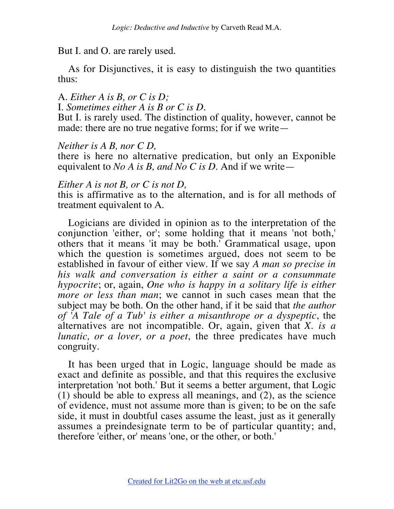But I. and O. are rarely used.

As for Disjunctives, it is easy to distinguish the two quantities thus:

A. *Either A is B, or C is D;* I. *Sometimes either A is B or C is D.*

But I. is rarely used. The distinction of quality, however, cannot be made: there are no true negative forms; for if we write—

*Neither is A B, nor C D,*

there is here no alternative predication, but only an Exponible equivalent to *No A is B, and No C is D*. And if we write—

*Either A is not B, or C is not D,*

this is affirmative as to the alternation, and is for all methods of treatment equivalent to A.

Logicians are divided in opinion as to the interpretation of the conjunction 'either, or'; some holding that it means 'not both,' others that it means 'it may be both.' Grammatical usage, upon which the question is sometimes argued, does not seem to be established in favour of either view. If we say *A man so precise in his walk and conversation is either a saint or a consummate hypocrite*; or, again, *One who is happy in a solitary life is either more or less than man*; we cannot in such cases mean that the subject may be both. On the other hand, if it be said that *the author of 'A Tale of a Tub' is either a misanthrope or a dyspeptic*, the alternatives are not incompatible. Or, again, given that *X. is a lunatic, or a lover, or a poet*, the three predicates have much congruity.

It has been urged that in Logic, language should be made as exact and definite as possible, and that this requires the exclusive interpretation 'not both.' But it seems a better argument, that Logic (1) should be able to express all meanings, and (2), as the science of evidence, must not assume more than is given; to be on the safe side, it must in doubtful cases assume the least, just as it generally assumes a preindesignate term to be of particular quantity; and, therefore 'either, or' means 'one, or the other, or both.'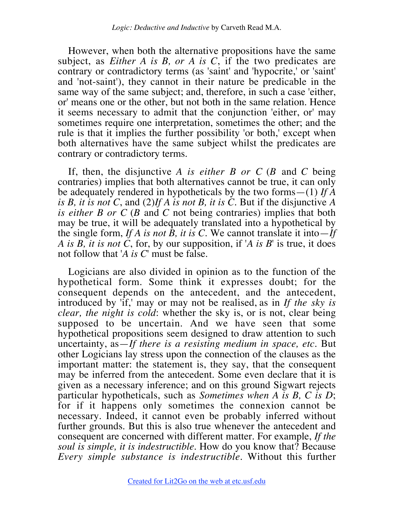However, when both the alternative propositions have the same subject, as *Either A is B, or A is C*, if the two predicates are contrary or contradictory terms (as 'saint' and 'hypocrite,' or 'saint' and 'not-saint'), they cannot in their nature be predicable in the same way of the same subject; and, therefore, in such a case 'either, or' means one or the other, but not both in the same relation. Hence it seems necessary to admit that the conjunction 'either, or' may sometimes require one interpretation, sometimes the other; and the rule is that it implies the further possibility 'or both,' except when both alternatives have the same subject whilst the predicates are contrary or contradictory terms.

If, then, the disjunctive *A is either B or C* (*B* and *C* being contraries) implies that both alternatives cannot be true, it can only be adequately rendered in hypotheticals by the two forms—(1) *If A is B, it is not C*, and (2)*If A is not B, it is C*. But if the disjunctive *A is either B or C* (*B* and *C* not being contraries) implies that both may be true, it will be adequately translated into a hypothetical by the single form, *If A is not B, it is C*. We cannot translate it into  $-\tilde{I}f$ *A is B, it is not C*, for, by our supposition, if '*A is B*' is true, it does not follow that '*A is C*' must be false.

Logicians are also divided in opinion as to the function of the hypothetical form. Some think it expresses doubt; for the consequent depends on the antecedent, and the antecedent, introduced by 'if,' may or may not be realised, as in *If the sky is clear, the night is cold*: whether the sky is, or is not, clear being supposed to be uncertain. And we have seen that some hypothetical propositions seem designed to draw attention to such uncertainty, as—*If there is a resisting medium in space, etc*. But other Logicians lay stress upon the connection of the clauses as the important matter: the statement is, they say, that the consequent may be inferred from the antecedent. Some even declare that it is given as a necessary inference; and on this ground Sigwart rejects particular hypotheticals, such as *Sometimes when A is B, C is D*; for if it happens only sometimes the connexion cannot be necessary. Indeed, it cannot even be probably inferred without further grounds. But this is also true whenever the antecedent and consequent are concerned with different matter. For example, *If the soul is simple, it is indestructible*. How do you know that? Because *Every simple substance is indestructible*. Without this further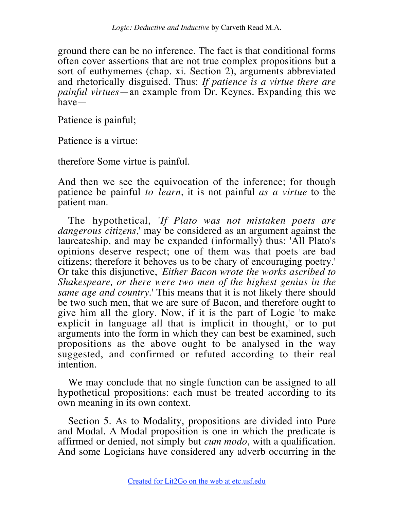ground there can be no inference. The fact is that conditional forms often cover assertions that are not true complex propositions but a sort of euthymemes (chap. xi. Section 2), arguments abbreviated and rhetorically disguised. Thus: *If patience is a virtue there are painful virtues*—an example from Dr. Keynes. Expanding this we have—

Patience is painful;

Patience is a virtue:

therefore Some virtue is painful.

And then we see the equivocation of the inference; for though patience be painful *to learn*, it is not painful *as a virtue* to the patient man.

The hypothetical, '*If Plato was not mistaken poets are dangerous citizens*,' may be considered as an argument against the laureateship, and may be expanded (informally) thus: 'All Plato's opinions deserve respect; one of them was that poets are bad citizens; therefore it behoves us to be chary of encouraging poetry.' Or take this disjunctive, '*Either Bacon wrote the works ascribed to Shakespeare, or there were two men of the highest genius in the same age and country*.' This means that it is not likely there should be two such men, that we are sure of Bacon, and therefore ought to give him all the glory. Now, if it is the part of Logic 'to make explicit in language all that is implicit in thought,' or to put arguments into the form in which they can best be examined, such propositions as the above ought to be analysed in the way suggested, and confirmed or refuted according to their real intention.

We may conclude that no single function can be assigned to all hypothetical propositions: each must be treated according to its own meaning in its own context.

Section 5. As to Modality, propositions are divided into Pure and Modal. A Modal proposition is one in which the predicate is affirmed or denied, not simply but *cum modo*, with a qualification. And some Logicians have considered any adverb occurring in the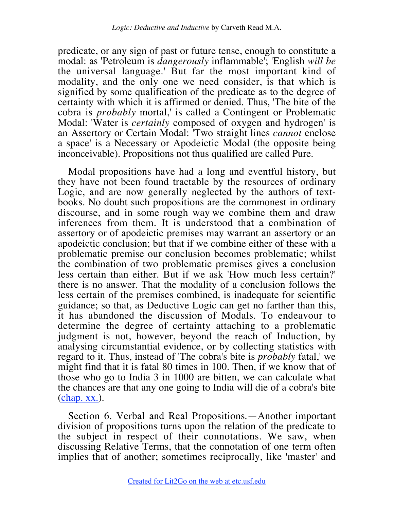predicate, or any sign of past or future tense, enough to constitute a modal: as 'Petroleum is *dangerously* inflammable'; 'English *will be* the universal language.' But far the most important kind of modality, and the only one we need consider, is that which is signified by some qualification of the predicate as to the degree of certainty with which it is affirmed or denied. Thus, 'The bite of the cobra is *probably* mortal,' is called a Contingent or Problematic Modal: 'Water is *certainly* composed of oxygen and hydrogen' is an Assertory or Certain Modal: 'Two straight lines *cannot* enclose a space' is a Necessary or Apodeictic Modal (the opposite being inconceivable). Propositions not thus qualified are called Pure.

Modal propositions have had a long and eventful history, but they have not been found tractable by the resources of ordinary Logic, and are now generally neglected by the authors of textbooks. No doubt such propositions are the commonest in ordinary discourse, and in some rough way we combine them and draw inferences from them. It is understood that a combination of assertory or of apodeictic premises may warrant an assertory or an apodeictic conclusion; but that if we combine either of these with a problematic premise our conclusion becomes problematic; whilst the combination of two problematic premises gives a conclusion less certain than either. But if we ask 'How much less certain?' there is no answer. That the modality of a conclusion follows the less certain of the premises combined, is inadequate for scientific guidance; so that, as Deductive Logic can get no farther than this, it has abandoned the discussion of Modals. To endeavour to determine the degree of certainty attaching to a problematic judgment is not, however, beyond the reach of Induction, by analysing circumstantial evidence, or by collecting statistics with regard to it. Thus, instead of 'The cobra's bite is *probably* fatal,' we might find that it is fatal 80 times in 100. Then, if we know that of those who go to India 3 in 1000 are bitten, we can calculate what the chances are that any one going to India will die of a cobra's bite (chap. xx.).

Section 6. Verbal and Real Propositions.—Another important division of propositions turns upon the relation of the predicate to the subject in respect of their connotations. We saw, when discussing Relative Terms, that the connotation of one term often implies that of another; sometimes reciprocally, like 'master' and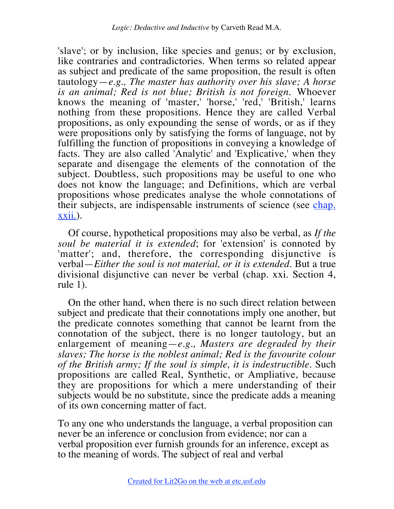'slave'; or by inclusion, like species and genus; or by exclusion, like contraries and contradictories. When terms so related appear as subject and predicate of the same proposition, the result is often tautology—*e.g., The master has authority over his slave; A horse is an animal; Red is not blue; British is not foreign*. Whoever knows the meaning of 'master,' 'horse,' 'red,' 'British,' learns nothing from these propositions. Hence they are called Verbal propositions, as only expounding the sense of words, or as if they were propositions only by satisfying the forms of language, not by fulfilling the function of propositions in conveying a knowledge of facts. They are also called 'Analytic' and 'Explicative,' when they separate and disengage the elements of the connotation of the subject. Doubtless, such propositions may be useful to one who does not know the language; and Definitions, which are verbal propositions whose predicates analyse the whole connotations of their subjects, are indispensable instruments of science (see chap. xxii.).

Of course, hypothetical propositions may also be verbal, as *If the soul be material it is extended*; for 'extension' is connoted by 'matter'; and, therefore, the corresponding disjunctive is verbal—*Either the soul is not material, or it is extended*. But a true divisional disjunctive can never be verbal (chap. xxi. Section 4, rule 1).

On the other hand, when there is no such direct relation between subject and predicate that their connotations imply one another, but the predicate connotes something that cannot be learnt from the connotation of the subject, there is no longer tautology, but an enlargement of meaning—*e.g., Masters are degraded by their slaves; The horse is the noblest animal; Red is the favourite colour of the British army; If the soul is simple, it is indestructible*. Such propositions are called Real, Synthetic, or Ampliative, because they are propositions for which a mere understanding of their subjects would be no substitute, since the predicate adds a meaning of its own concerning matter of fact.

To any one who understands the language, a verbal proposition can never be an inference or conclusion from evidence; nor can a verbal proposition ever furnish grounds for an inference, except as to the meaning of words. The subject of real and verbal